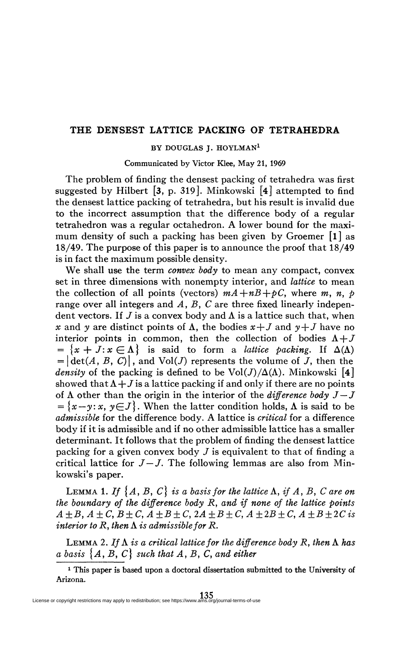## **THE DENSEST LATTICE PACKING OF TETRAHEDRA**

## BY DOUGLAS J. HOYLMAN<sup>1</sup>

Communicated by Victor Klee, May 21, 1969

The problem of finding the densest packing of tetrahedra was first suggested by Hilbert  $[3, p. 319]$ . Minkowski  $[4]$  attempted to find the densest lattice packing of tetrahedra, but his result is invalid due to the incorrect assumption that the difference body of a regular tetrahedron was a regular octahedron. A lower bound for the maximum density of such a packing has been given by Groemer  $[1]$  as 18/49. The purpose of this paper is to announce the proof that 18/49 is in fact the maximum possible density.

We shall use the term *convex body* to mean any compact, convex set in three dimensions with nonempty interior, and *lattice* to mean the collection of all points (vectors)  $mA+nB+pC$ , where m, n, p range over all integers and *A, B, C* are three fixed linearly independent vectors. If J is a convex body and  $\Lambda$  is a lattice such that, when *x* and *y* are distinct points of  $\Lambda$ , the bodies  $x + J$  and  $y + J$  have no interior points in common, then the collection of bodies  $\Lambda + J$  $=\{x + J: x \in \Lambda\}$  is said to form a *lattice packing*. If  $\Delta(\Lambda)$  $= |\det(A, B, C)|$ , and Vol(*J*) represents the volume of *J*, then the *density* of the packing is defined to be  $Vol(J)/\Delta(\Lambda)$ . Minkowski [4] showed that  $\Lambda + J$  is a lattice packing if and only if there are no points of  $\Lambda$  other than the origin in the interior of the *difference body*  $J-J$  $=\{x-y: x, y\in J\}$ . When the latter condition holds,  $\Lambda$  is said to be *admissible* for the difference body. A lattice is *critical* for a difference body if it is admissible and if no other admissible lattice has a smaller determinant. It follows that the problem of finding the densest lattice packing for a given convex body  $J$  is equivalent to that of finding a critical lattice for  $J-J$ . The following lemmas are also from Minkowski's paper.

LEMMA 1. If  $\{A, B, C\}$  is a basis for the lattice  $\Lambda$ , if  $A, B, C$  are on *the boundary of the difference body R, and if none of the lattice points A ±B, A±C,B±C,A±B±C,2A±B±C,A±2B±C,A ±B±2Cis interior to R, then*  $\Lambda$  *is admissible for R.* 

LEMMA 2. If  $\Lambda$  is a critical lattice for the difference body R, then  $\Lambda$  has  $a$  basis  $\{A, B, C\}$  such that  $A, B, C$ , and either

<sup>&</sup>lt;sup>1</sup> This paper is based upon a doctoral dissertation submitted to the University of Arizona.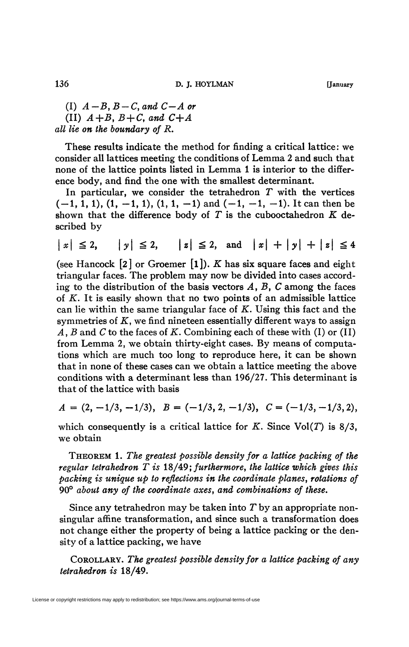**136 D. J. HOYLMAN [January** 

(I)  $A - B$ ,  $B - C$ , and  $C - A$  or **(II)** *A+B, B + C, and C+A all lie on the boundary of R.* 

**These results indicate the method for finding a critical lattice: we consider all lattices meeting the conditions of Lemma 2 and such that none of the lattice points listed in Lemma 1 is interior to the difference body, and find the one with the smallest determinant.** 

**In particular, we consider the tetrahedron** *T* **with the vertices**   $(-1, 1, 1)$ ,  $(1, -1, 1)$ ,  $(1, 1, -1)$  and  $(-1, -1, -1)$ . It can then be **shown that the difference body of** *T* **is the cubooctahedron** *K* **described by** 

$$
|x| \le 2
$$
,  $|y| \le 2$ ,  $|z| \le 2$ , and  $|x| + |y| + |z| \le 4$ 

**(see Hancock [2] or Groemer [l]).** *K* **has six square faces and eight triangular faces. The problem may now be divided into cases according to the distribution of the basis vectors** *A, B, C* **among the faces of** *K.* **It is easily shown that no two points of an admissible lattice can lie within the same triangular face of** *K.* **Using this fact and the symmetries of** *K,* **we find nineteen essentially different ways to assign**  *A, B* **and** *C* **to the faces of** *K.* **Combining each of these with (I) or (II) from Lemma 2, we obtain thirty-eight cases. By means of computations which are much too long to reproduce here, it can be shown that in none of these cases can we obtain a lattice meeting the above conditions with a determinant less than 196/27. This determinant is that of the lattice with basis** 

$$
A = (2, -1/3, -1/3), B = (-1/3, 2, -1/3), C = (-1/3, -1/3, 2),
$$

which consequently is a critical lattice for  $K$ . Since  $Vol(T)$  is  $8/3$ , **we obtain** 

**THEOREM 1.** *The greatest possible density for a lattice packing of the regular tetrahedron T is* 18/49; furthermore, the lattice which gives this *packing is unique up to reflections in the coordinate planes, rotations of*  **90°** *about any of the coordinate axes, and combinations of these.* 

**Since any tetrahedron may be taken into** *T* **by an appropriate nonsingular affine transformation, and since such a transformation does not change either the property of being a lattice packing or the density of a lattice packing, we have** 

**COROLLARY.** *The greatest possible density for a lattice packing of any tetrahedron is* **18/49.**